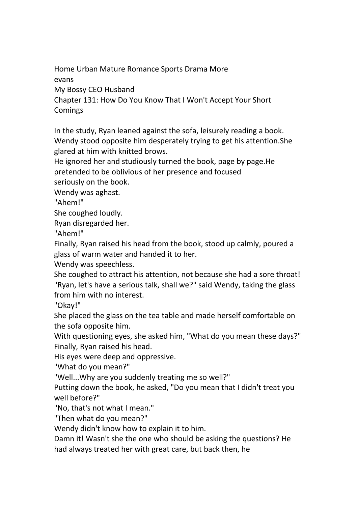Home Urban Mature Romance Sports Drama More

evans

My Bossy CEO Husband

Chapter 131: How Do You Know That I Won't Accept Your Short **Comings** 

In the study, Ryan leaned against the sofa, leisurely reading a book. Wendy stood opposite him desperately trying to get his attention. She glared at him with knitted brows.

He ignored her and studiously turned the book, page by page.He pretended to be oblivious of her presence and focused seriously on the book.

Wendy was aghast.

"Ahem!"

She coughed loudly.

Ryan disregarded her.

"Ahem!"

Finally, Ryan raised his head from the book, stood up calmly, poured a glass of warm water and handed it to her.

Wendy was speechless.

She coughed to attract his attention, not because she had a sore throat! "Ryan, let's have a serious talk, shall we?" said Wendy, taking the glass from him with no interest.

"Okay!"

She placed the glass on the tea table and made herself comfortable on the sofa opposite him.

With questioning eyes, she asked him, "What do you mean these days?" Finally, Ryan raised his head.

His eyes were deep and oppressive.

"What do you mean?"

"Well...Why are you suddenly treating me so well?"

Putting down the book, he asked, "Do you mean that I didn't treat you well before?"

"No, that's not what I mean."

"Then what do you mean?"

Wendy didn't know how to explain it to him.

Damn it! Wasn't she the one who should be asking the questions? He had always treated her with great care, but back then, he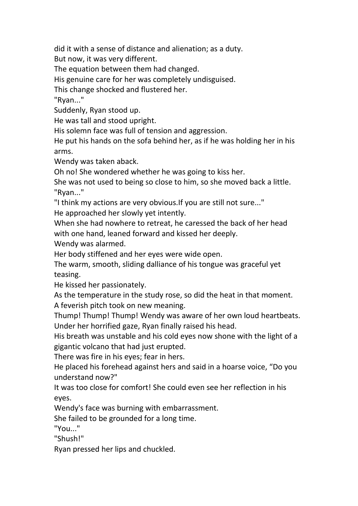did it with a sense of distance and alienation; as a duty.

But now, it was very different.

The equation between them had changed.

His genuine care for her was completely undisguised.

This change shocked and flustered her.

"Ryan..."

Suddenly, Ryan stood up.

He was tall and stood upright.

His solemn face was full of tension and aggression.

He put his hands on the sofa behind her, as if he was holding her in his arms.

Wendy was taken aback.

Oh no! She wondered whether he was going to kiss her.

She was not used to being so close to him, so she moved back a little. "Ryan..."

"I think my actions are very obvious.If you are still not sure..."

He approached her slowly yet intently.

When she had nowhere to retreat, he caressed the back of her head with one hand, leaned forward and kissed her deeply.

Wendy was alarmed.

Her body stiffened and her eyes were wide open.

The warm, smooth, sliding dalliance of his tongue was graceful yet teasing.

He kissed her passionately.

As the temperature in the study rose, so did the heat in that moment. A feverish pitch took on new meaning.

Thump! Thump! Thump! Wendy was aware of her own loud heartbeats. Under her horrified gaze, Ryan finally raised his head.

His breath was unstable and his cold eyes now shone with the light of a gigantic volcano that had just erupted.

There was fire in his eyes; fear in hers.

He placed his forehead against hers and said in a hoarse voice, "Do you understand now?"

It was too close for comfort! She could even see her reflection in his eyes.

Wendy's face was burning with embarrassment.

She failed to be grounded for a long time.<br>"You..."

"Shush!"

Ryan pressed her lips and chuckled.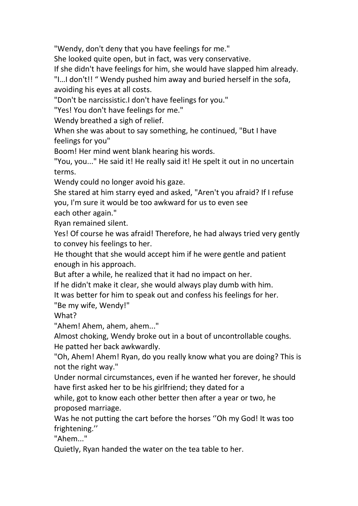"Wendy, don't deny that you have feelings for me."

She looked quite open, but in fact, was very conservative.

If she didn't have feelings for him, she would have slapped him already.

"I…I don't!! " Wendy pushed him away and buried herself in the sofa, avoiding his eyes at all costs.

"Don't be narcissistic.I don't have feelings for you."

"Yes! You don't have feelings for me."

Wendy breathed a sigh of relief.

When she was about to say something, he continued, "But I have feelings for you"

Boom! Her mind went blank hearing his words.

"You, you..." He said it! He really said it! He spelt it out in no uncertain terms.

Wendy could no longer avoid his gaze.

She stared at him starry eyed and asked, "Aren't you afraid? If I refuse you, I'm sure it would be too awkward for us to even see

each other again."

Ryan remained silent.

Yes! Of course he was afraid! Therefore, he had always tried very gently to convey his feelings to her.

He thought that she would accept him if he were gentle and patient enough in his approach.

But after a while, he realized that it had no impact on her.

If he didn't make it clear, she would always play dumb with him.

It was better for him to speak out and confess his feelings for her.

"Be my wife, Wendy!"

What?

"Ahem! Ahem, ahem, ahem..."

Almost choking, Wendy broke out in a bout of uncontrollable coughs. He patted her back awkwardly.

"Oh, Ahem! Ahem! Ryan, do you really know what you are doing? This is not the right way."

Under normal circumstances, even if he wanted her forever, he should have first asked her to be his girlfriend; they dated for a

while, got to know each other better then after a year or two, he proposed marriage.

Was he not putting the cart before the horses ''Oh my God! It was too frightening.''

"Ahem..."

Quietly, Ryan handed the water on the tea table to her.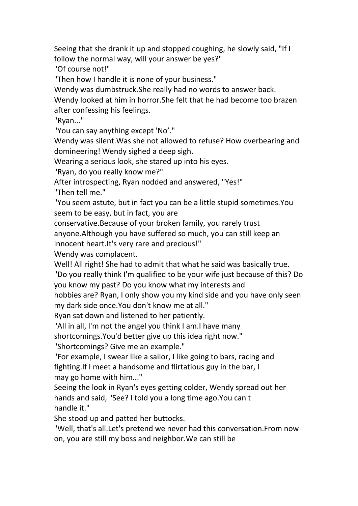Seeing that she drank it up and stopped coughing, he slowly said, "If I follow the normal way, will your answer be yes?"

"Of course not!"

"Then how I handle it is none of your business."

Wendy was dumbstruck.She really had no words to answer back.

Wendy looked at him in horror.She felt that he had become too brazen after confessing his feelings.

"Ryan..."

"You can say anything except 'No'."

Wendy was silent.Was she not allowed to refuse? How overbearing and domineering! Wendy sighed a deep sigh.<br>Wearing a serious look, she stared up into his eyes.

"Ryan, do you really know me?"

After introspecting, Ryan nodded and answered, "Yes!"

"Then tell me."

"You seem astute, but in fact you can be a little stupid sometimes.You seem to be easy, but in fact, you are

conservative.Because of your broken family, you rarely trust

anyone.Although you have suffered so much, you can still keep an

innocent heart.It's very rare and precious!"

Wendy was complacent.

Well! All right! She had to admit that what he said was basically true.

"Do you really think I'm qualified to be your wife just because of this? Do you know my past? Do you know what my interests and

hobbies are? Ryan, I only show you my kind side and you have only seen my dark side once.You don't know me at all."

Ryan sat down and listened to her patiently.

"All in all, I'm not the angel you think I am.I have many

shortcomings.You'd better give up this idea right now."

"Shortcomings? Give me an example."

"For example, I swear like a sailor, I like going to bars, racing and fighting.If I meet a handsome and flirtatious guy in the bar, I may go home with him..."

Seeing the look in Ryan's eyes getting colder, Wendy spread out her hands and said, "See? I told you a long time ago.You can't handle it."

She stood up and patted her buttocks.

"Well, that's all.Let's pretend we never had this conversation.From now on, you are still my boss and neighbor.We can still be